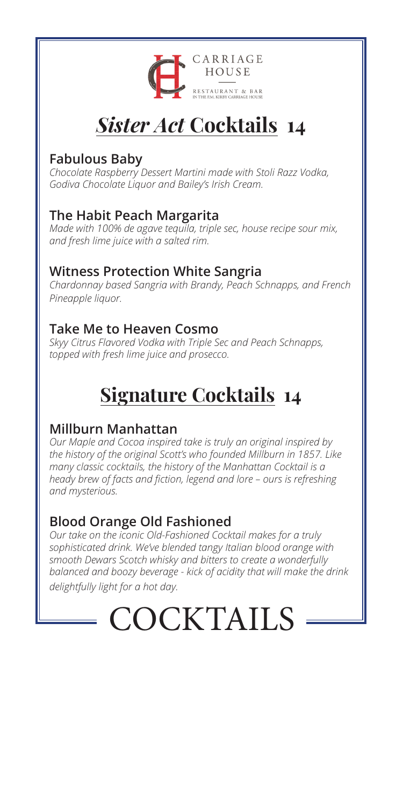

# *Sister Act* **Cocktails 14**

#### **Fabulous Baby**

*Chocolate Raspberry Dessert Martini made with Stoli Razz Vodka, Godiva Chocolate Liquor and Bailey's Irish Cream.*

#### **The Habit Peach Margarita**

*Made with 100% de agave tequila, triple sec, house recipe sour mix, and fresh lime juice with a salted rim.*

#### **Witness Protection White Sangria**

*Chardonnay based Sangria with Brandy, Peach Schnapps, and French Pineapple liquor.*

#### **Take Me to Heaven Cosmo**

*Skyy Citrus Flavored Vodka with Triple Sec and Peach Schnapps, topped with fresh lime juice and prosecco.*

# **Signature Cocktails 14**

#### **Millburn Manhattan**

*Our Maple and Cocoa inspired take is truly an original inspired by the history of the original Scott's who founded Millburn in 1857. Like many classic cocktails, the history of the Manhattan Cocktail is a heady brew of facts and fiction, legend and lore – ours is refreshing and mysterious.* 

#### **Blood Orange Old Fashioned**

*Our take on the iconic Old-Fashioned Cocktail makes for a truly sophisticated drink. We've blended tangy Italian blood orange with smooth Dewars Scotch whisky and bitters to create a wonderfully balanced and boozy beverage - kick of acidity that will make the drink delightfully light for a hot day.*

# **COCKTAILS**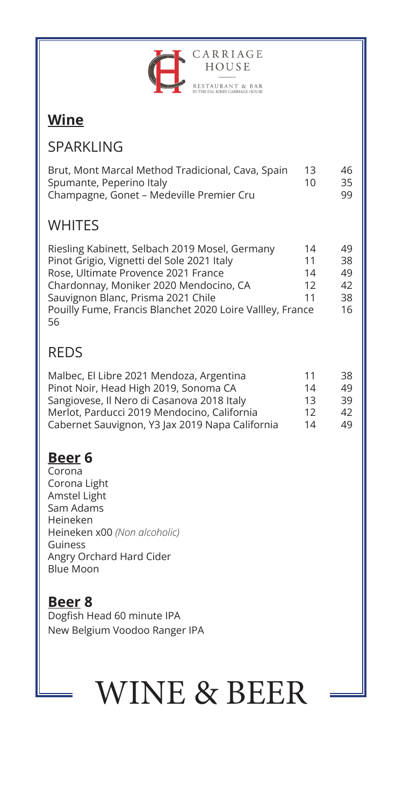

## **Wine**

#### SPARKLING

| Brut, Mont Marcal Method Tradicional, Cava, Spain | 13 | 46. |
|---------------------------------------------------|----|-----|
| Spumante, Peperino Italy                          | 10 | 35  |
| Champagne, Gonet - Medeville Premier Cru          |    | 99  |

### **WHITES**

| Riesling Kabinett, Selbach 2019 Mosel, Germany            | 14 | 49 |
|-----------------------------------------------------------|----|----|
| Pinot Grigio, Vignetti del Sole 2021 Italy                | 11 | 38 |
| Rose, Ultimate Provence 2021 France                       | 14 | 49 |
| Chardonnay, Moniker 2020 Mendocino, CA                    | 12 | 42 |
| Sauvignon Blanc, Prisma 2021 Chile                        | 11 | 38 |
| Pouilly Fume, Francis Blanchet 2020 Loire Vallley, France |    | 16 |
| 56                                                        |    |    |

## REDS

| Malbec, El Libre 2021 Mendoza, Argentina        | 11 | 38. |
|-------------------------------------------------|----|-----|
| Pinot Noir, Head High 2019, Sonoma CA           | 14 | 49. |
| Sangiovese, Il Nero di Casanova 2018 Italy      | 13 | 39. |
| Merlot, Parducci 2019 Mendocino, California     | 12 | 42. |
| Cabernet Sauvignon, Y3 Jax 2019 Napa California | 14 | 49. |

### **Beer 6**

Corona Corona Light Amstel Light Sam Adams Heineken Heineken x00 *(Non alcoholic)* Guiness Angry Orchard Hard Cider Blue Moon

# **Beer 8**

Dogfish Head 60 minute IPA New Belgium Voodoo Ranger IPA

# WINE & BEER